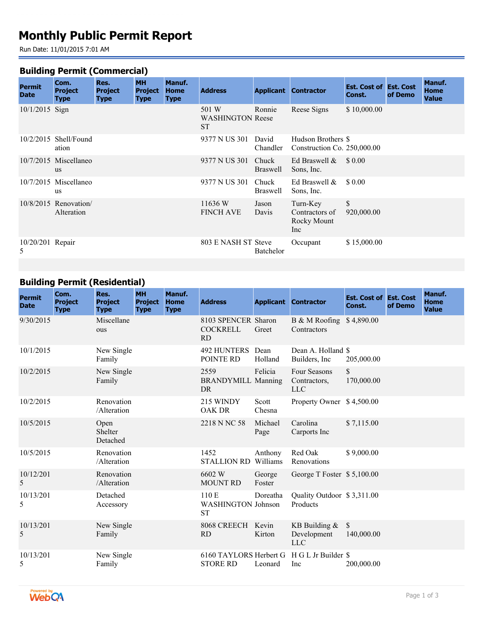# **Monthly Public Permit Report**

Run Date: 11/01/2015 7:01 AM

#### **Building Permit (Commercial)**

| <b>Permit</b><br><b>Date</b> | Com.<br><b>Project</b><br>Type       | Res.<br><b>Project</b><br><b>Type</b> | <b>MH</b><br><b>Project</b><br><b>Type</b> | Manuf.<br><b>Home</b><br><b>Type</b> | <b>Address</b>                                |                          | <b>Applicant Contractor</b>                       | <b>Est. Cost of Est. Cost</b><br>Const. | of Demo | Manuf.<br><b>Home</b><br><b>Value</b> |
|------------------------------|--------------------------------------|---------------------------------------|--------------------------------------------|--------------------------------------|-----------------------------------------------|--------------------------|---------------------------------------------------|-----------------------------------------|---------|---------------------------------------|
| 10/1/2015 Sign               |                                      |                                       |                                            |                                      | 501 W<br><b>WASHINGTON Reese</b><br><b>ST</b> | Ronnie                   | Reese Signs                                       | \$10,000.00                             |         |                                       |
|                              | $10/2/2015$ Shell/Found<br>ation     |                                       |                                            |                                      | 9377 N US 301                                 | David<br>Chandler        | Hudson Brothers \$<br>Construction Co. 250,000.00 |                                         |         |                                       |
|                              | $10/7/2015$ Miscellaneo<br><b>us</b> |                                       |                                            |                                      | 9377 N US 301                                 | Chuck<br><b>Braswell</b> | Ed Braswell $\&$<br>Sons, Inc.                    | \$ 0.00                                 |         |                                       |
|                              | 10/7/2015 Miscellaneo<br><b>us</b>   |                                       |                                            |                                      | 9377 N US 301                                 | Chuck<br><b>Braswell</b> | Ed Braswell $\&$<br>Sons, Inc.                    | \$ 0.00                                 |         |                                       |
|                              | $10/8/2015$ Renovation<br>Alteration |                                       |                                            |                                      | 11636 W<br><b>FINCH AVE</b>                   | Jason<br>Davis           | Turn-Key<br>Contractors of<br>Rocky Mount<br>Inc  | \$<br>920,000.00                        |         |                                       |
| $10/20/201$ Repair<br>5      |                                      |                                       |                                            |                                      | 803 E NASH ST Steve                           | Batchelor                | Occupant                                          | \$15,000.00                             |         |                                       |
|                              |                                      |                                       |                                            |                                      |                                               |                          |                                                   |                                         |         |                                       |

## **Building Permit (Residential)**

| <b>Permit</b><br><b>Date</b> | Com.<br><b>Project</b><br><b>Type</b> | Res.<br><b>Project</b><br><b>Type</b> | <b>MH</b><br><b>Project</b><br><b>Type</b> | <b>Manuf.</b><br>Home<br><b>Type</b> | <b>Address</b>                                  |                  | <b>Applicant Contractor</b>                | <b>Est. Cost of Est. Cost</b><br>Const. | of Demo | Manuf.<br><b>Home</b><br><b>Value</b> |
|------------------------------|---------------------------------------|---------------------------------------|--------------------------------------------|--------------------------------------|-------------------------------------------------|------------------|--------------------------------------------|-----------------------------------------|---------|---------------------------------------|
| 9/30/2015                    |                                       | Miscellane<br>ous                     |                                            |                                      | 8103 SPENCER Sharon<br><b>COCKRELL</b><br>RD.   | Greet            | B & M Roofing \$4,890.00<br>Contractors    |                                         |         |                                       |
| 10/1/2015                    |                                       | New Single<br>Family                  |                                            |                                      | <b>492 HUNTERS</b><br>POINTE RD                 | Dean<br>Holland  | Dean A. Holland \$<br>Builders, Inc.       | 205,000.00                              |         |                                       |
| 10/2/2015                    |                                       | New Single<br>Family                  |                                            |                                      | 2559<br><b>BRANDYMILL Manning</b><br>DR.        | Felicia          | Four Seasons<br>Contractors,<br><b>LLC</b> | \$<br>170,000.00                        |         |                                       |
| 10/2/2015                    |                                       | Renovation<br>/Alteration             |                                            |                                      | 215 WINDY<br><b>OAK DR</b>                      | Scott<br>Chesna  | Property Owner \$4,500.00                  |                                         |         |                                       |
| 10/5/2015                    |                                       | Open<br>Shelter<br>Detached           |                                            |                                      | 2218 N NC 58                                    | Michael<br>Page  | Carolina<br>Carports Inc                   | \$7,115.00                              |         |                                       |
| 10/5/2015                    |                                       | Renovation<br>/Alteration             |                                            |                                      | 1452<br><b>STALLION RD</b> Williams             | Anthony          | Red Oak<br>Renovations                     | \$9,000.00                              |         |                                       |
| 10/12/201<br>5               |                                       | Renovation<br>/Alteration             |                                            |                                      | 6602 W<br><b>MOUNT RD</b>                       | George<br>Foster | George T Foster \$5,100.00                 |                                         |         |                                       |
| 10/13/201<br>5               |                                       | Detached<br>Accessory                 |                                            |                                      | 110 E<br><b>WASHINGTON Johnson</b><br><b>ST</b> | Doreatha         | Quality Outdoor \$3,311.00<br>Products     |                                         |         |                                       |
| 10/13/201<br>5               |                                       | New Single<br>Family                  |                                            |                                      | 8068 CREECH Kevin<br><b>RD</b>                  | Kirton           | KB Building $&$<br>Development<br>LLC      | <sup>S</sup><br>140,000.00              |         |                                       |
| 10/13/201<br>5               |                                       | New Single<br>Family                  |                                            |                                      | 6160 TAYLORS Herbert G<br><b>STORE RD</b>       | Leonard          | H G L Jr Builder \$<br>Inc                 | 200,000.00                              |         |                                       |

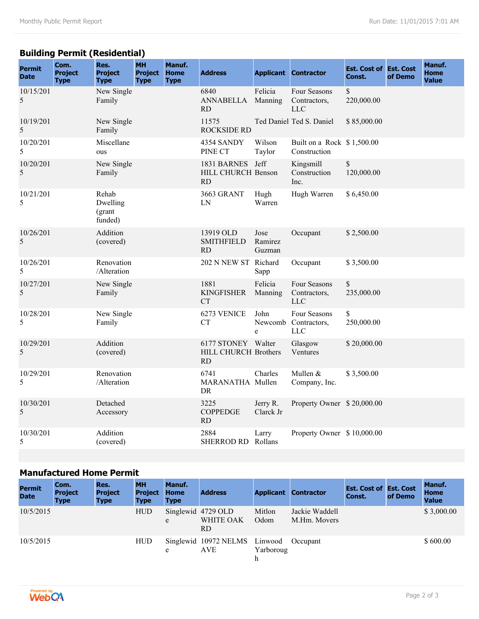## **Building Permit (Residential)**

| <b>Permit</b><br><b>Date</b> | Com.<br><b>Project</b><br><b>Type</b> | Res.<br><b>Project</b><br><b>Type</b>  | <b>MH</b><br><b>Project</b><br><b>Type</b> | Manuf.<br><b>Home</b><br><b>Type</b> | <b>Address</b>                                   |                           | <b>Applicant Contractor</b>                        | <b>Est. Cost of Est. Cost</b><br>Const. | of Demo | Manuf.<br><b>Home</b><br><b>Value</b> |
|------------------------------|---------------------------------------|----------------------------------------|--------------------------------------------|--------------------------------------|--------------------------------------------------|---------------------------|----------------------------------------------------|-----------------------------------------|---------|---------------------------------------|
| 10/15/201<br>5               |                                       | New Single<br>Family                   |                                            |                                      | 6840<br><b>ANNABELLA</b><br><b>RD</b>            | Felicia<br>Manning        | Four Seasons<br>Contractors,<br><b>LLC</b>         | \$<br>220,000.00                        |         |                                       |
| 10/19/201<br>5               |                                       | New Single<br>Family                   |                                            |                                      | 11575<br><b>ROCKSIDE RD</b>                      |                           | Ted Daniel Ted S. Daniel                           | \$85,000.00                             |         |                                       |
| 10/20/201<br>5               |                                       | Miscellane<br>ous                      |                                            |                                      | 4354 SANDY<br>PINE CT                            | Wilson<br>Taylor          | Built on a Rock \$1,500.00<br>Construction         |                                         |         |                                       |
| 10/20/201<br>5               |                                       | New Single<br>Family                   |                                            |                                      | 1831 BARNES<br>HILL CHURCH Benson<br><b>RD</b>   | Jeff                      | Kingsmill<br>Construction<br>Inc.                  | $\mathbb S$<br>120,000.00               |         |                                       |
| 10/21/201<br>5               |                                       | Rehab<br>Dwelling<br>(grant<br>funded) |                                            |                                      | 3663 GRANT<br>LN                                 | Hugh<br>Warren            | Hugh Warren                                        | \$6,450.00                              |         |                                       |
| 10/26/201<br>5               |                                       | Addition<br>(covered)                  |                                            |                                      | 13919 OLD<br><b>SMITHFIELD</b><br><b>RD</b>      | Jose<br>Ramirez<br>Guzman | Occupant                                           | \$2,500.00                              |         |                                       |
| 10/26/201<br>5               |                                       | Renovation<br>/Alteration              |                                            |                                      | 202 N NEW ST Richard                             | Sapp                      | Occupant                                           | \$3,500.00                              |         |                                       |
| 10/27/201<br>5               |                                       | New Single<br>Family                   |                                            |                                      | 1881<br><b>KINGFISHER</b><br>CT                  | Felicia<br>Manning        | Four Seasons<br>Contractors,<br><b>LLC</b>         | \$<br>235,000.00                        |         |                                       |
| 10/28/201<br>5               |                                       | New Single<br>Family                   |                                            |                                      | 6273 VENICE<br><b>CT</b>                         | John<br>e                 | Four Seasons<br>Newcomb Contractors,<br><b>LLC</b> | \$<br>250,000.00                        |         |                                       |
| 10/29/201<br>5               |                                       | Addition<br>(covered)                  |                                            |                                      | 6177 STONEY Walter<br>HILL CHURCH Brothers<br>RD |                           | Glasgow<br>Ventures                                | \$20,000.00                             |         |                                       |
| 10/29/201<br>5               |                                       | Renovation<br>/Alteration              |                                            |                                      | 6741<br>MARANATHA Mullen<br><b>DR</b>            | Charles                   | Mullen &<br>Company, Inc.                          | \$3,500.00                              |         |                                       |
| 10/30/201<br>5               |                                       | Detached<br>Accessory                  |                                            |                                      | 3225<br><b>COPPEDGE</b><br>RD                    | Jerry R.<br>Clarck Jr     | Property Owner \$20,000.00                         |                                         |         |                                       |
| 10/30/201<br>5               |                                       | Addition<br>(covered)                  |                                            |                                      | 2884<br>SHERROD RD Rollans                       | Larry                     | Property Owner \$10,000.00                         |                                         |         |                                       |

### **Manufactured Home Permit**

| <b>Permit</b><br><b>Date</b> | Com.<br><b>Project</b><br><b>Type</b> | Res.<br><b>Project</b><br><b>Type</b> | <b>MH</b><br><b>Project</b><br><b>Type</b> | Manuf.<br><b>Home</b><br><b>Type</b> | <b>Address</b>                              |                | <b>Applicant Contractor</b>    | <b>Est. Cost of Est. Cost</b><br>Const. | of Demo | Manuf.<br><b>Home</b><br><b>Value</b> |
|------------------------------|---------------------------------------|---------------------------------------|--------------------------------------------|--------------------------------------|---------------------------------------------|----------------|--------------------------------|-----------------------------------------|---------|---------------------------------------|
| 10/5/2015                    |                                       |                                       | <b>HUD</b>                                 | e                                    | Singlewid 4729 OLD<br>WHITE OAK<br>RD       | Mitlon<br>Odom | Jackie Waddell<br>M.Hm. Movers |                                         |         | \$3,000.00                            |
| 10/5/2015                    |                                       |                                       | <b>HUD</b>                                 | e                                    | Singlewid 10972 NELMS Linwood<br><b>AVE</b> | Yarboroug      | Occupant                       |                                         |         | \$600.00                              |